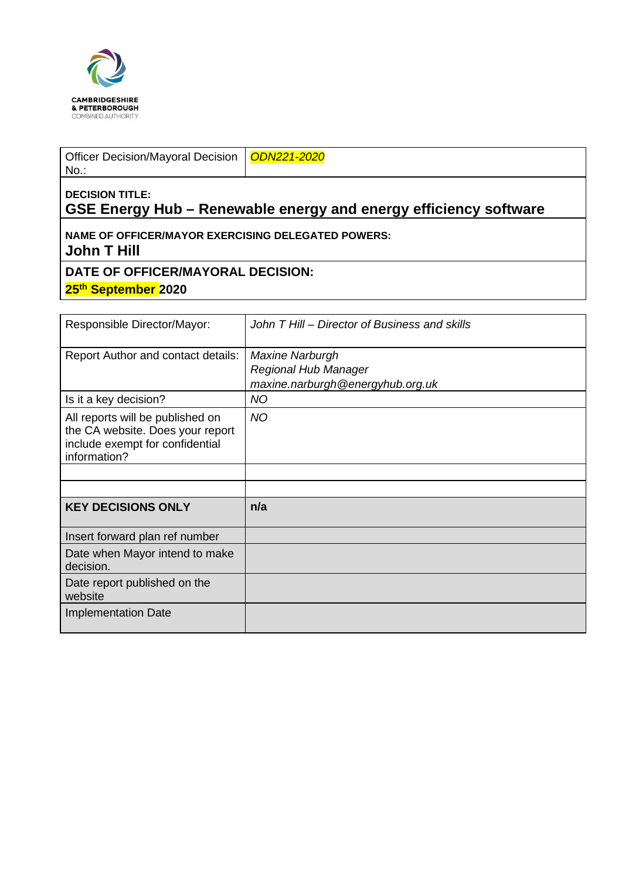

Officer Decision/Mayoral Decision No.:

*ODN221-2020*

## **DECISION TITLE: GSE Energy Hub – Renewable energy and energy efficiency software**

**NAME OF OFFICER/MAYOR EXERCISING DELEGATED POWERS: John T Hill** 

**DATE OF OFFICER/MAYORAL DECISION:**

**25th September 2020**

| Responsible Director/Mayor:                                                                                             | John T Hill – Director of Business and skills            |
|-------------------------------------------------------------------------------------------------------------------------|----------------------------------------------------------|
| Report Author and contact details:                                                                                      | <b>Maxine Narburgh</b>                                   |
|                                                                                                                         | Regional Hub Manager<br>maxine.narburgh@energyhub.org.uk |
| Is it a key decision?                                                                                                   | <b>NO</b>                                                |
| All reports will be published on<br>the CA website. Does your report<br>include exempt for confidential<br>information? | <b>NO</b>                                                |
|                                                                                                                         |                                                          |
|                                                                                                                         |                                                          |
| <b>KEY DECISIONS ONLY</b>                                                                                               | n/a                                                      |
| Insert forward plan ref number                                                                                          |                                                          |
| Date when Mayor intend to make<br>decision.                                                                             |                                                          |
| Date report published on the<br>website                                                                                 |                                                          |
| <b>Implementation Date</b>                                                                                              |                                                          |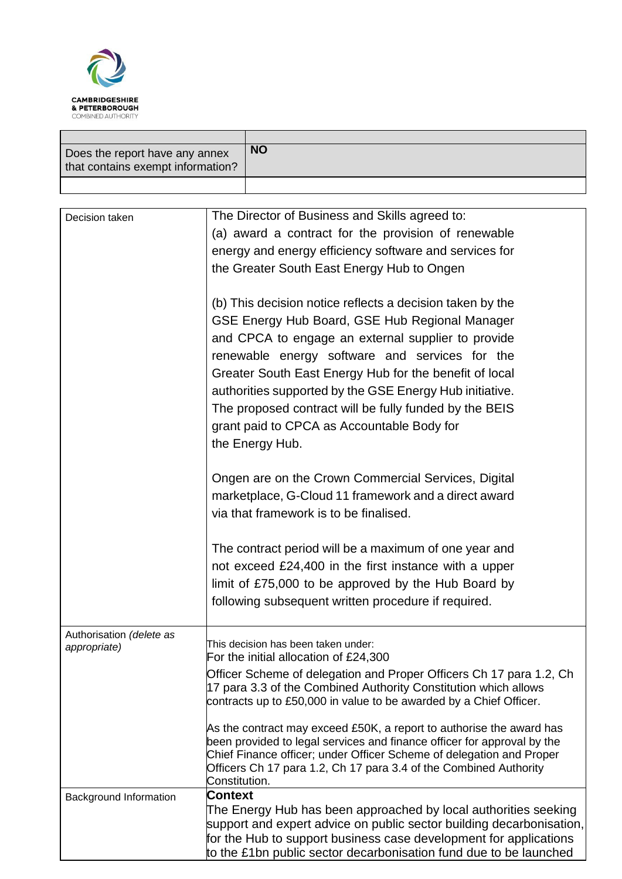

| Does the report have any annex<br>that contains exempt information? | <b>NO</b> |
|---------------------------------------------------------------------|-----------|
|                                                                     |           |

| Decision taken                | The Director of Business and Skills agreed to:                                     |
|-------------------------------|------------------------------------------------------------------------------------|
|                               | (a) award a contract for the provision of renewable                                |
|                               | energy and energy efficiency software and services for                             |
|                               | the Greater South East Energy Hub to Ongen                                         |
|                               |                                                                                    |
|                               | (b) This decision notice reflects a decision taken by the                          |
|                               | GSE Energy Hub Board, GSE Hub Regional Manager                                     |
|                               | and CPCA to engage an external supplier to provide                                 |
|                               | renewable energy software and services for the                                     |
|                               |                                                                                    |
|                               | Greater South East Energy Hub for the benefit of local                             |
|                               | authorities supported by the GSE Energy Hub initiative.                            |
|                               | The proposed contract will be fully funded by the BEIS                             |
|                               | grant paid to CPCA as Accountable Body for                                         |
|                               | the Energy Hub.                                                                    |
|                               |                                                                                    |
|                               | Ongen are on the Crown Commercial Services, Digital                                |
|                               | marketplace, G-Cloud 11 framework and a direct award                               |
|                               | via that framework is to be finalised.                                             |
|                               | The contract period will be a maximum of one year and                              |
|                               | not exceed £24,400 in the first instance with a upper                              |
|                               | limit of £75,000 to be approved by the Hub Board by                                |
|                               | following subsequent written procedure if required.                                |
|                               |                                                                                    |
| Authorisation (delete as      | This decision has been taken under:                                                |
| appropriate)                  | For the initial allocation of £24,300                                              |
|                               | Officer Scheme of delegation and Proper Officers Ch 17 para 1.2, Ch                |
|                               | 17 para 3.3 of the Combined Authority Constitution which allows                    |
|                               | contracts up to £50,000 in value to be awarded by a Chief Officer.                 |
|                               | As the contract may exceed £50K, a report to authorise the award has               |
|                               | been provided to legal services and finance officer for approval by the            |
|                               | Chief Finance officer; under Officer Scheme of delegation and Proper               |
|                               | Officers Ch 17 para 1.2, Ch 17 para 3.4 of the Combined Authority<br>Constitution. |
| <b>Background Information</b> | <b>Context</b>                                                                     |
|                               | The Energy Hub has been approached by local authorities seeking                    |
|                               | support and expert advice on public sector building decarbonisation,               |
|                               | for the Hub to support business case development for applications                  |
|                               | to the £1bn public sector decarbonisation fund due to be launched                  |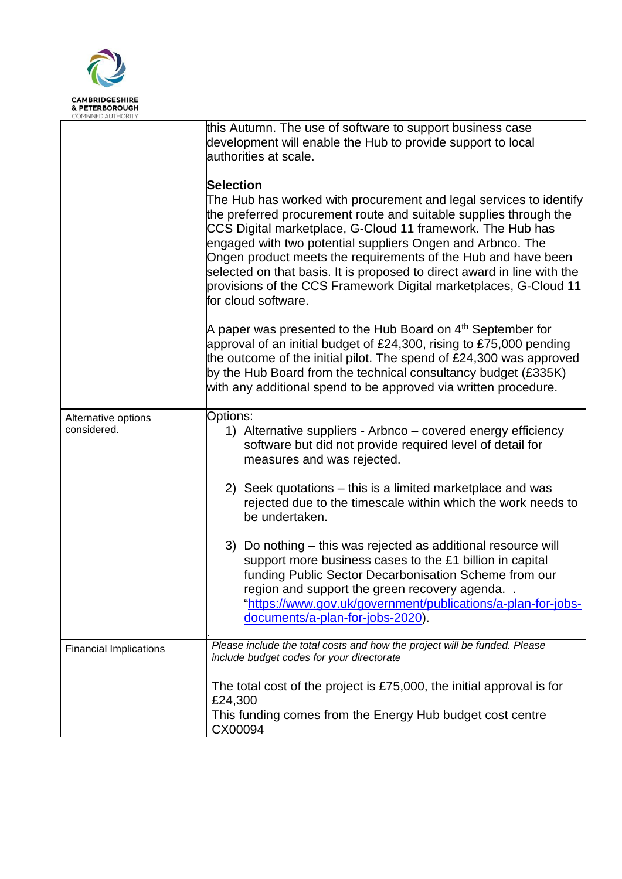

|                                    | this Autumn. The use of software to support business case<br>development will enable the Hub to provide support to local<br>authorities at scale.                                                                                                                                                                                                                                                                                                                                                                       |
|------------------------------------|-------------------------------------------------------------------------------------------------------------------------------------------------------------------------------------------------------------------------------------------------------------------------------------------------------------------------------------------------------------------------------------------------------------------------------------------------------------------------------------------------------------------------|
|                                    | Selection<br>The Hub has worked with procurement and legal services to identify<br>the preferred procurement route and suitable supplies through the<br>CCS Digital marketplace, G-Cloud 11 framework. The Hub has<br>engaged with two potential suppliers Ongen and Arbnco. The<br>Ongen product meets the requirements of the Hub and have been<br>selected on that basis. It is proposed to direct award in line with the<br>provisions of the CCS Framework Digital marketplaces, G-Cloud 11<br>for cloud software. |
|                                    | A paper was presented to the Hub Board on $4th$ September for<br>approval of an initial budget of £24,300, rising to £75,000 pending<br>the outcome of the initial pilot. The spend of $£24,300$ was approved<br>by the Hub Board from the technical consultancy budget (£335K)<br>with any additional spend to be approved via written procedure.                                                                                                                                                                      |
| Alternative options<br>considered. | Options:<br>1) Alternative suppliers - Arbnco – covered energy efficiency<br>software but did not provide required level of detail for<br>measures and was rejected.                                                                                                                                                                                                                                                                                                                                                    |
|                                    | 2) Seek quotations – this is a limited marketplace and was<br>rejected due to the timescale within which the work needs to<br>be undertaken.                                                                                                                                                                                                                                                                                                                                                                            |
|                                    | 3) Do nothing – this was rejected as additional resource will<br>support more business cases to the £1 billion in capital<br>funding Public Sector Decarbonisation Scheme from our<br>region and support the green recovery agenda.<br>"https://www.gov.uk/government/publications/a-plan-for-jobs-<br>documents/a-plan-for-jobs-2020).                                                                                                                                                                                 |
| <b>Financial Implications</b>      | Please include the total costs and how the project will be funded. Please<br>include budget codes for your directorate                                                                                                                                                                                                                                                                                                                                                                                                  |
|                                    | The total cost of the project is £75,000, the initial approval is for<br>£24,300<br>This funding comes from the Energy Hub budget cost centre<br>CX00094                                                                                                                                                                                                                                                                                                                                                                |